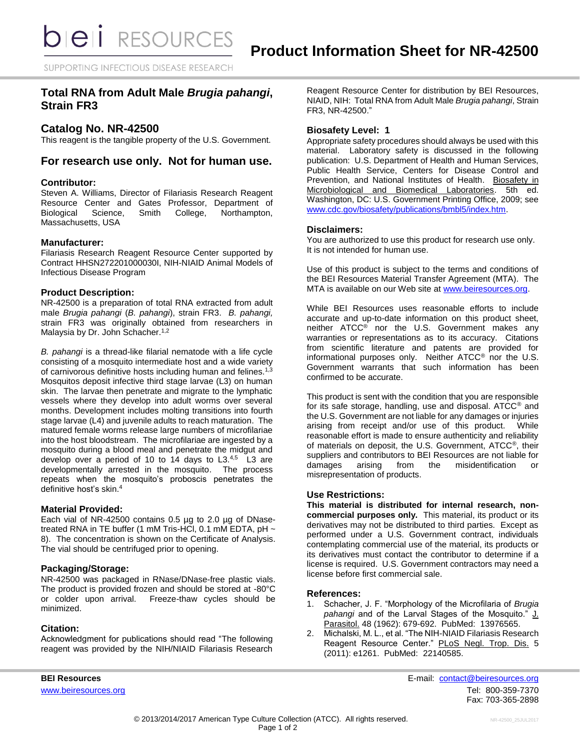SUPPORTING INFECTIOUS DISEASE RESEARCH

# **Total RNA from Adult Male** *Brugia pahangi***, Strain FR3**

## **Catalog No. NR-42500**

This reagent is the tangible property of the U.S. Government.

## **For research use only. Not for human use.**

#### **Contributor:**

Steven A. Williams, Director of Filariasis Research Reagent Resource Center and Gates Professor, Department of Biological Science, Smith College, Northampton, Massachusetts, USA

#### **Manufacturer:**

Filariasis Research Reagent Resource Center supported by Contract HHSN272201000030I, NIH-NIAID Animal Models of Infectious Disease Program

#### **Product Description:**

NR-42500 is a preparation of total RNA extracted from adult male *Brugia pahangi* (*B. pahangi*), strain FR3. *B. pahangi,* strain FR3 was originally obtained from researchers in Malaysia by Dr. John Schacher.<sup>1,2</sup>

*B. pahangi* is a thread-like filarial nematode with a life cycle consisting of a mosquito intermediate host and a wide variety of carnivorous definitive hosts including human and felines.<sup>1,3</sup> Mosquitos deposit infective third stage larvae (L3) on human skin. The larvae then penetrate and migrate to the lymphatic vessels where they develop into adult worms over several months. Development includes molting transitions into fourth stage larvae (L4) and juvenile adults to reach maturation. The matured female worms release large numbers of microfilariae into the host bloodstream. The microfilariae are ingested by a mosquito during a blood meal and penetrate the midgut and develop over a period of 10 to 14 days to  $L3^{4,5}$  L3 are developmentally arrested in the mosquito. The process repeats when the mosquito's proboscis penetrates the definitive host's skin.<sup>4</sup>

#### **Material Provided:**

Each vial of NR-42500 contains 0.5 µg to 2.0 µg of DNasetreated RNA in TE buffer (1 mM Tris-HCl, 0.1 mM EDTA, pH  $\sim$ 8). The concentration is shown on the Certificate of Analysis. The vial should be centrifuged prior to opening.

#### **Packaging/Storage:**

NR-42500 was packaged in RNase/DNase-free plastic vials. The product is provided frozen and should be stored at -80°C or colder upon arrival. Freeze-thaw cycles should be minimized.

#### **Citation:**

Acknowledgment for publications should read "The following reagent was provided by the NIH/NIAID Filariasis Research Reagent Resource Center for distribution by BEI Resources, NIAID, NIH: Total RNA from Adult Male *Brugia pahangi*, Strain FR3, NR-42500."

### **Biosafety Level: 1**

Appropriate safety procedures should always be used with this material. Laboratory safety is discussed in the following publication: U.S. Department of Health and Human Services, Public Health Service, Centers for Disease Control and Prevention, and National Institutes of Health. Biosafety in Microbiological and Biomedical Laboratories. 5th ed. Washington, DC: U.S. Government Printing Office, 2009; see [www.cdc.gov/biosafety/publications/bmbl5/index.htm.](http://www.cdc.gov/biosafety/publications/bmbl5/index.htm)

#### **Disclaimers:**

You are authorized to use this product for research use only. It is not intended for human use.

Use of this product is subject to the terms and conditions of the BEI Resources Material Transfer Agreement (MTA). The MTA is available on our Web site at [www.beiresources.org.](http://www.beiresources.org/)

While BEI Resources uses reasonable efforts to include accurate and up-to-date information on this product sheet, neither ATCC® nor the U.S. Government makes any warranties or representations as to its accuracy. Citations from scientific literature and patents are provided for informational purposes only. Neither ATCC® nor the U.S. Government warrants that such information has been confirmed to be accurate.

This product is sent with the condition that you are responsible for its safe storage, handling, use and disposal. ATCC® and the U.S. Government are not liable for any damages or injuries arising from receipt and/or use of this product. While reasonable effort is made to ensure authenticity and reliability of materials on deposit, the U.S. Government, ATCC®, their suppliers and contributors to BEI Resources are not liable for damages arising from the misidentification or misrepresentation of products.

#### **Use Restrictions:**

**This material is distributed for internal research, noncommercial purposes only.** This material, its product or its derivatives may not be distributed to third parties. Except as performed under a U.S. Government contract, individuals contemplating commercial use of the material, its products or its derivatives must contact the contributor to determine if a license is required. U.S. Government contractors may need a license before first commercial sale.

#### **References:**

- 1. Schacher, J. F. "Morphology of the Microfilaria of *Brugia pahangi* and of the Larval Stages of the Mosquito." J. Parasitol. 48 (1962): 679-692. PubMed: 13976565.
- 2. Michalski, M. L., et al. "The NIH-NIAID Filariasis Research Reagent Resource Center." PLoS Negl. Trop. Dis. 5 (2011): e1261. PubMed: 22140585.

**BEI Resources** E-mail: [contact@beiresources.org](mailto:contact@beiresources.org) [www.beiresources.org](http://www.beiresources.org/)Tel: 800-359-7370 Fax: 703-365-2898